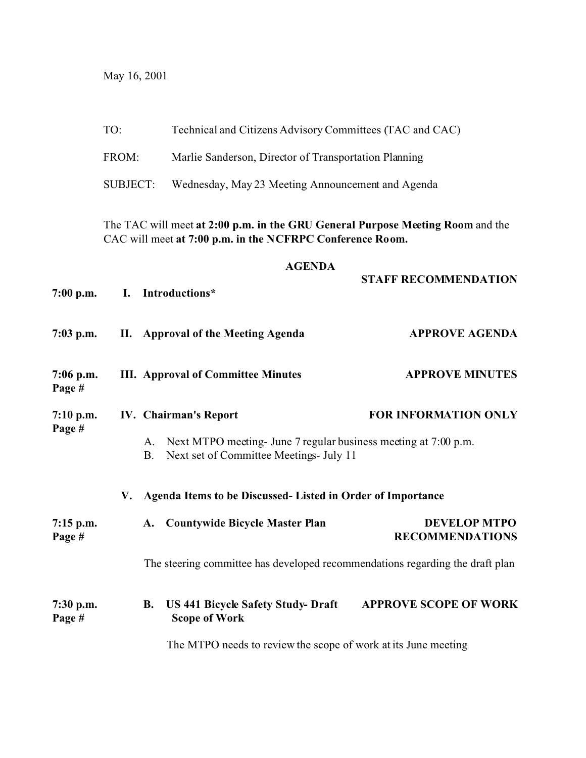May 16, 2001

|                       | TO:                                                                                                                                         |                              | Technical and Citizens Advisory Committees (TAC and CAC)                                                   |                                               |  |  |  |  |
|-----------------------|---------------------------------------------------------------------------------------------------------------------------------------------|------------------------------|------------------------------------------------------------------------------------------------------------|-----------------------------------------------|--|--|--|--|
|                       | FROM:                                                                                                                                       |                              | Marlie Sanderson, Director of Transportation Planning                                                      |                                               |  |  |  |  |
|                       | <b>SUBJECT:</b>                                                                                                                             |                              | Wednesday, May 23 Meeting Announcement and Agenda                                                          |                                               |  |  |  |  |
|                       | The TAC will meet at 2:00 p.m. in the GRU General Purpose Meeting Room and the<br>CAC will meet at 7:00 p.m. in the NCFRPC Conference Room. |                              |                                                                                                            |                                               |  |  |  |  |
|                       | <b>AGENDA</b>                                                                                                                               |                              |                                                                                                            |                                               |  |  |  |  |
| $7:00$ p.m.           | I.                                                                                                                                          |                              | Introductions*                                                                                             | <b>STAFF RECOMMENDATION</b>                   |  |  |  |  |
| $7:03$ p.m.           |                                                                                                                                             |                              | II. Approval of the Meeting Agenda                                                                         | <b>APPROVE AGENDA</b>                         |  |  |  |  |
| $7:06$ p.m.<br>Page # |                                                                                                                                             |                              | <b>III.</b> Approval of Committee Minutes                                                                  | <b>APPROVE MINUTES</b>                        |  |  |  |  |
| $7:10$ p.m.           |                                                                                                                                             | <b>IV.</b> Chairman's Report |                                                                                                            | <b>FOR INFORMATION ONLY</b>                   |  |  |  |  |
| Page #                |                                                                                                                                             | А.<br><b>B.</b>              | Next MTPO meeting- June 7 regular business meeting at 7:00 p.m.<br>Next set of Committee Meetings- July 11 |                                               |  |  |  |  |
|                       | V.                                                                                                                                          |                              | Agenda Items to be Discussed- Listed in Order of Importance                                                |                                               |  |  |  |  |
| $7:15$ p.m.<br>Page # |                                                                                                                                             | A.                           | <b>Countywide Bicycle Master Plan</b>                                                                      | <b>DEVELOP MTPO</b><br><b>RECOMMENDATIONS</b> |  |  |  |  |
|                       |                                                                                                                                             |                              | The steering committee has developed recommendations regarding the draft plan                              |                                               |  |  |  |  |
| $7:30$ p.m.<br>Page # |                                                                                                                                             | <b>B.</b>                    | <b>US 441 Bicycle Safety Study- Draft</b><br><b>Scope of Work</b>                                          | <b>APPROVE SCOPE OF WORK</b>                  |  |  |  |  |
|                       |                                                                                                                                             |                              | The MTPO needs to review the scope of work at its June meeting                                             |                                               |  |  |  |  |